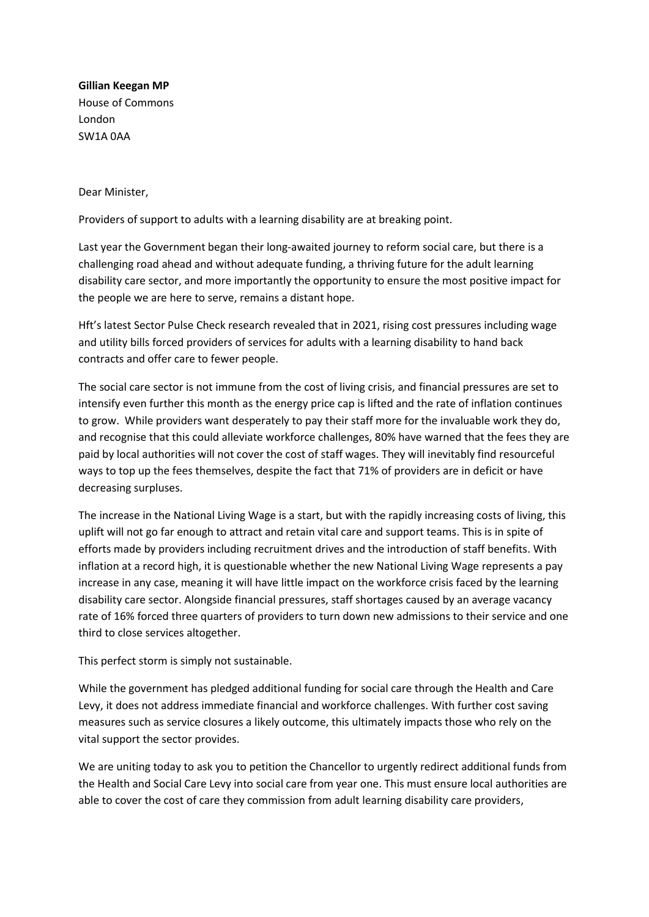**Gillian Keegan MP**  House of Commons London SW1A 0AA

Dear Minister,

Providers of support to adults with a learning disability are at breaking point.

Last year the Government began their long-awaited journey to reform social care, but there is a challenging road ahead and without adequate funding, a thriving future for the adult learning disability care sector, and more importantly the opportunity to ensure the most positive impact for the people we are here to serve, remains a distant hope.

Hft's latest Sector Pulse Check research revealed that in 2021, rising cost pressures including wage and utility bills forced providers of services for adults with a learning disability to hand back contracts and offer care to fewer people.

The social care sector is not immune from the cost of living crisis, and financial pressures are set to intensify even further this month as the energy price cap is lifted and the rate of inflation continues to grow. While providers want desperately to pay their staff more for the invaluable work they do, and recognise that this could alleviate workforce challenges, 80% have warned that the fees they are paid by local authorities will not cover the cost of staff wages. They will inevitably find resourceful ways to top up the fees themselves, despite the fact that 71% of providers are in deficit or have decreasing surpluses.

The increase in the National Living Wage is a start, but with the rapidly increasing costs of living, this uplift will not go far enough to attract and retain vital care and support teams. This is in spite of efforts made by providers including recruitment drives and the introduction of staff benefits. With inflation at a record high, it is questionable whether the new National Living Wage represents a pay increase in any case, meaning it will have little impact on the workforce crisis faced by the learning disability care sector. Alongside financial pressures, staff shortages caused by an average vacancy rate of 16% forced three quarters of providers to turn down new admissions to their service and one third to close services altogether.

This perfect storm is simply not sustainable.

While the government has pledged additional funding for social care through the Health and Care Levy, it does not address immediate financial and workforce challenges. With further cost saving measures such as service closures a likely outcome, this ultimately impacts those who rely on the vital support the sector provides.

We are uniting today to ask you to petition the Chancellor to urgently redirect additional funds from the Health and Social Care Levy into social care from year one. This must ensure local authorities are able to cover the cost of care they commission from adult learning disability care providers,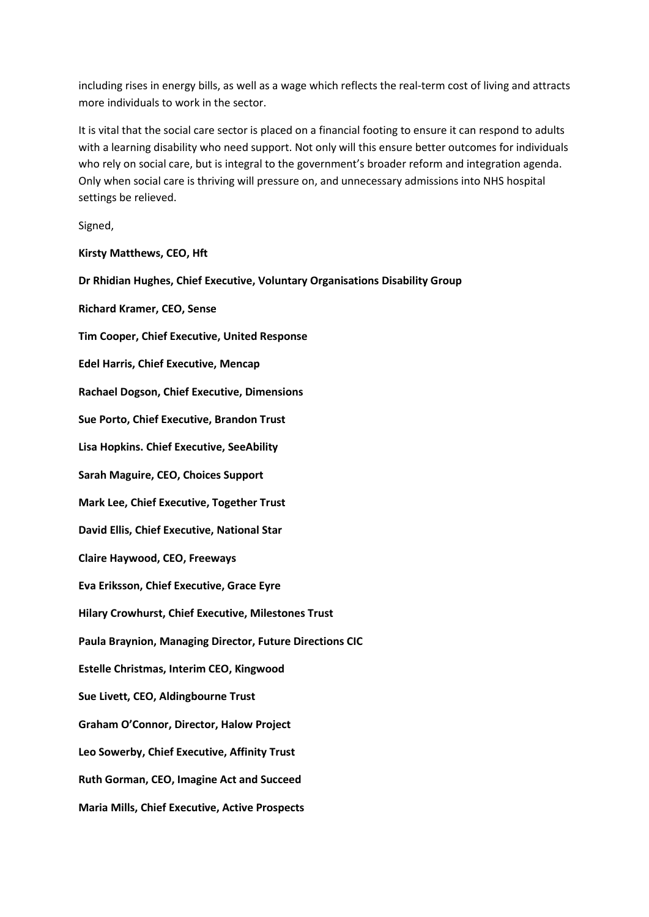including rises in energy bills, as well as a wage which reflects the real-term cost of living and attracts more individuals to work in the sector.

It is vital that the social care sector is placed on a financial footing to ensure it can respond to adults with a learning disability who need support. Not only will this ensure better outcomes for individuals who rely on social care, but is integral to the government's broader reform and integration agenda. Only when social care is thriving will pressure on, and unnecessary admissions into NHS hospital settings be relieved.

Signed,

**Kirsty Matthews, CEO, Hft** 

**Dr Rhidian Hughes, Chief Executive, Voluntary Organisations Disability Group**

**Richard Kramer, CEO, Sense** 

**Tim Cooper, Chief Executive, United Response** 

**Edel Harris, Chief Executive, Mencap**

**Rachael Dogson, Chief Executive, Dimensions** 

**Sue Porto, Chief Executive, Brandon Trust** 

**Lisa Hopkins. Chief Executive, SeeAbility** 

**Sarah Maguire, CEO, Choices Support** 

**Mark Lee, Chief Executive, Together Trust** 

**David Ellis, Chief Executive, National Star**

**Claire Haywood, CEO, Freeways** 

**Eva Eriksson, Chief Executive, Grace Eyre**

**Hilary Crowhurst, Chief Executive, Milestones Trust**

**Paula Braynion, Managing Director, Future Directions CIC**

**Estelle Christmas, Interim CEO, Kingwood**

**Sue Livett, CEO, Aldingbourne Trust** 

**Graham O'Connor, Director, Halow Project** 

**Leo Sowerby, Chief Executive, Affinity Trust**

**Ruth Gorman, CEO, Imagine Act and Succeed** 

**Maria Mills, Chief Executive, Active Prospects**